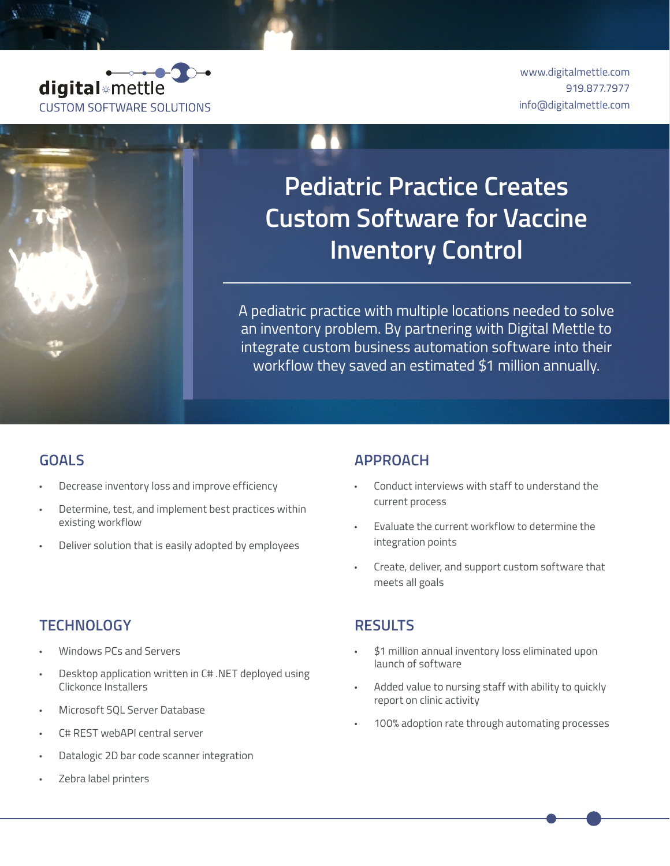



# **Pediatric Practice Creates Custom Software for Vaccine Inventory Control**

A pediatric practice with multiple locations needed to solve an inventory problem. By partnering with Digital Mettle to integrate custom business automation software into their workflow they saved an estimated \$1 million annually.

### **GOALS**

- Decrease inventory loss and improve efficiency
- Determine, test, and implement best practices within existing workflow
- Deliver solution that is easily adopted by employees

## **TECHNOLOGY**

- Windows PCs and Servers
- Desktop application written in C# .NET deployed using Clickonce Installers
- Microsoft SQL Server Database
- C# REST webAPI central server
- Datalogic 2D bar code scanner integration
- Zebra label printers

#### **APPROACH**

- Conduct interviews with staff to understand the current process
- Evaluate the current workflow to determine the integration points
- Create, deliver, and support custom software that meets all goals

### **RESULTS**

- \$1 million annual inventory loss eliminated upon launch of software
- Added value to nursing staff with ability to quickly report on clinic activity
- 100% adoption rate through automating processes